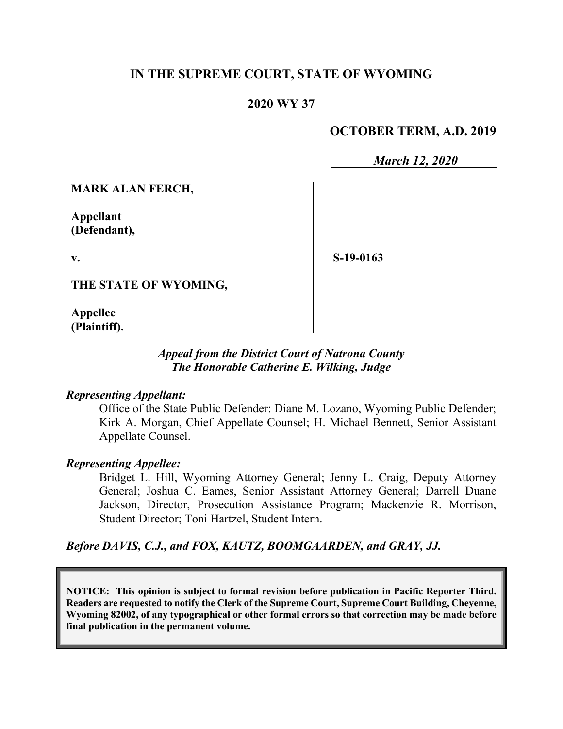## **IN THE SUPREME COURT, STATE OF WYOMING**

## **2020 WY 37**

## **OCTOBER TERM, A.D. 2019**

*March 12, 2020*

**MARK ALAN FERCH,**

**Appellant (Defendant),**

**v.**

**S-19-0163**

**THE STATE OF WYOMING,**

**Appellee (Plaintiff).**

#### *Appeal from the District Court of Natrona County The Honorable Catherine E. Wilking, Judge*

#### *Representing Appellant:*

Office of the State Public Defender: Diane M. Lozano, Wyoming Public Defender; Kirk A. Morgan, Chief Appellate Counsel; H. Michael Bennett, Senior Assistant Appellate Counsel.

#### *Representing Appellee:*

Bridget L. Hill, Wyoming Attorney General; Jenny L. Craig, Deputy Attorney General; Joshua C. Eames, Senior Assistant Attorney General; Darrell Duane Jackson, Director, Prosecution Assistance Program; Mackenzie R. Morrison, Student Director; Toni Hartzel, Student Intern.

*Before DAVIS, C.J., and FOX, KAUTZ, BOOMGAARDEN, and GRAY, JJ.*

**NOTICE: This opinion is subject to formal revision before publication in Pacific Reporter Third. Readers are requested to notify the Clerk of the Supreme Court, Supreme Court Building, Cheyenne, Wyoming 82002, of any typographical or other formal errors so that correction may be made before final publication in the permanent volume.**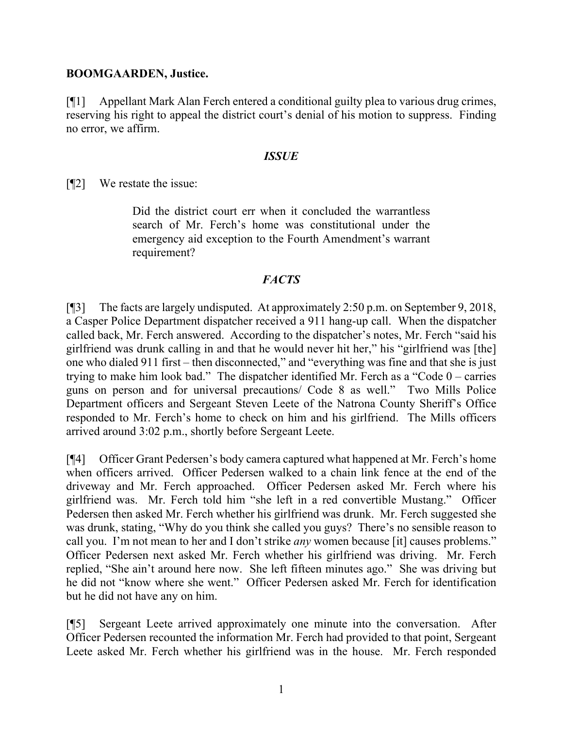#### **BOOMGAARDEN, Justice.**

[¶1] Appellant Mark Alan Ferch entered a conditional guilty plea to various drug crimes, reserving his right to appeal the district court's denial of his motion to suppress. Finding no error, we affirm.

#### *ISSUE*

[¶2] We restate the issue:

Did the district court err when it concluded the warrantless search of Mr. Ferch's home was constitutional under the emergency aid exception to the Fourth Amendment's warrant requirement?

## *FACTS*

[¶3] The facts are largely undisputed. At approximately 2:50 p.m. on September 9, 2018, a Casper Police Department dispatcher received a 911 hang-up call. When the dispatcher called back, Mr. Ferch answered. According to the dispatcher's notes, Mr. Ferch "said his girlfriend was drunk calling in and that he would never hit her," his "girlfriend was [the] one who dialed 911 first – then disconnected," and "everything was fine and that she is just trying to make him look bad." The dispatcher identified Mr. Ferch as a "Code 0 – carries guns on person and for universal precautions/ Code 8 as well." Two Mills Police Department officers and Sergeant Steven Leete of the Natrona County Sheriff's Office responded to Mr. Ferch's home to check on him and his girlfriend. The Mills officers arrived around 3:02 p.m., shortly before Sergeant Leete.

[¶4] Officer Grant Pedersen's body camera captured what happened at Mr. Ferch's home when officers arrived. Officer Pedersen walked to a chain link fence at the end of the driveway and Mr. Ferch approached. Officer Pedersen asked Mr. Ferch where his girlfriend was. Mr. Ferch told him "she left in a red convertible Mustang." Officer Pedersen then asked Mr. Ferch whether his girlfriend was drunk. Mr. Ferch suggested she was drunk, stating, "Why do you think she called you guys? There's no sensible reason to call you. I'm not mean to her and I don't strike *any* women because [it] causes problems." Officer Pedersen next asked Mr. Ferch whether his girlfriend was driving. Mr. Ferch replied, "She ain't around here now. She left fifteen minutes ago." She was driving but he did not "know where she went." Officer Pedersen asked Mr. Ferch for identification but he did not have any on him.

[¶5] Sergeant Leete arrived approximately one minute into the conversation. After Officer Pedersen recounted the information Mr. Ferch had provided to that point, Sergeant Leete asked Mr. Ferch whether his girlfriend was in the house. Mr. Ferch responded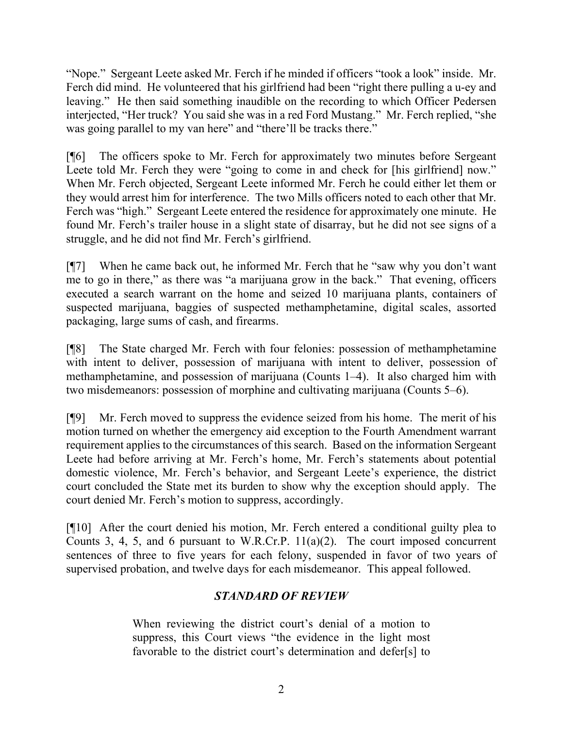"Nope." Sergeant Leete asked Mr. Ferch if he minded if officers "took a look" inside. Mr. Ferch did mind. He volunteered that his girlfriend had been "right there pulling a u-ey and leaving." He then said something inaudible on the recording to which Officer Pedersen interjected, "Her truck? You said she was in a red Ford Mustang." Mr. Ferch replied, "she was going parallel to my van here" and "there'll be tracks there."

[¶6] The officers spoke to Mr. Ferch for approximately two minutes before Sergeant Leete told Mr. Ferch they were "going to come in and check for [his girlfriend] now." When Mr. Ferch objected, Sergeant Leete informed Mr. Ferch he could either let them or they would arrest him for interference. The two Mills officers noted to each other that Mr. Ferch was "high." Sergeant Leete entered the residence for approximately one minute. He found Mr. Ferch's trailer house in a slight state of disarray, but he did not see signs of a struggle, and he did not find Mr. Ferch's girlfriend.

[¶7] When he came back out, he informed Mr. Ferch that he "saw why you don't want me to go in there," as there was "a marijuana grow in the back." That evening, officers executed a search warrant on the home and seized 10 marijuana plants, containers of suspected marijuana, baggies of suspected methamphetamine, digital scales, assorted packaging, large sums of cash, and firearms.

[¶8] The State charged Mr. Ferch with four felonies: possession of methamphetamine with intent to deliver, possession of marijuana with intent to deliver, possession of methamphetamine, and possession of marijuana (Counts 1–4). It also charged him with two misdemeanors: possession of morphine and cultivating marijuana (Counts 5–6).

[¶9] Mr. Ferch moved to suppress the evidence seized from his home. The merit of his motion turned on whether the emergency aid exception to the Fourth Amendment warrant requirement applies to the circumstances of this search. Based on the information Sergeant Leete had before arriving at Mr. Ferch's home, Mr. Ferch's statements about potential domestic violence, Mr. Ferch's behavior, and Sergeant Leete's experience, the district court concluded the State met its burden to show why the exception should apply. The court denied Mr. Ferch's motion to suppress, accordingly.

[¶10] After the court denied his motion, Mr. Ferch entered a conditional guilty plea to Counts 3, 4, 5, and 6 pursuant to W.R.Cr.P. 11(a)(2). The court imposed concurrent sentences of three to five years for each felony, suspended in favor of two years of supervised probation, and twelve days for each misdemeanor. This appeal followed.

# *STANDARD OF REVIEW*

When reviewing the district court's denial of a motion to suppress, this Court views "the evidence in the light most favorable to the district court's determination and defer[s] to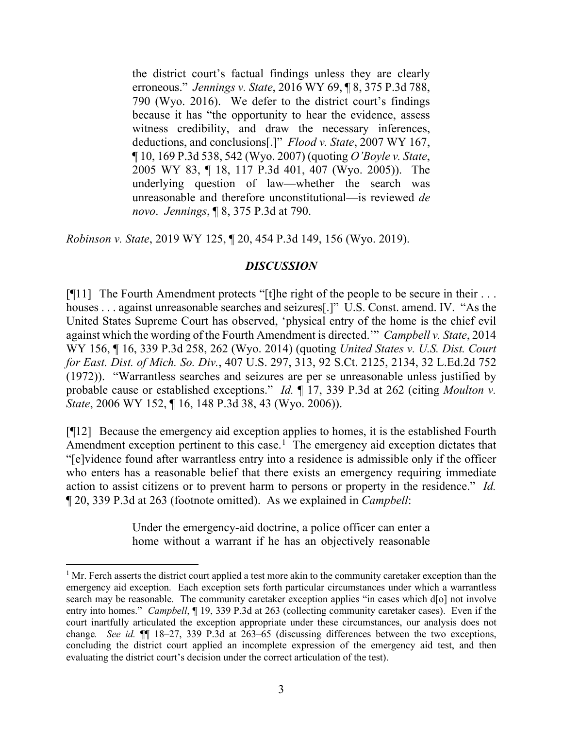the district court's factual findings unless they are clearly erroneous." *Jennings v. State*, 2016 WY 69, ¶ 8, 375 P.3d 788, 790 (Wyo. 2016). We defer to the district court's findings because it has "the opportunity to hear the evidence, assess witness credibility, and draw the necessary inferences, deductions, and conclusions[.]" *Flood v. State*, 2007 WY 167, ¶ 10, 169 P.3d 538, 542 (Wyo. 2007) (quoting *O'Boyle v. State*, 2005 WY 83, ¶ 18, 117 P.3d 401, 407 (Wyo. 2005)). The underlying question of law—whether the search was unreasonable and therefore unconstitutional—is reviewed *de novo*. *Jennings*, ¶ 8, 375 P.3d at 790.

*Robinson v. State*, 2019 WY 125, ¶ 20, 454 P.3d 149, 156 (Wyo. 2019).

### *DISCUSSION*

[ $[$ [11] The Fourth Amendment protects "[t]he right of the people to be secure in their ... houses . . . against unreasonable searches and seizures[.]" U.S. Const. amend. IV. "As the United States Supreme Court has observed, 'physical entry of the home is the chief evil against which the wording of the Fourth Amendment is directed.'" *Campbell v. State*, 2014 WY 156, ¶ 16, 339 P.3d 258, 262 (Wyo. 2014) (quoting *United States v. U.S. Dist. Court for East. Dist. of Mich. So. Div.*, 407 U.S. 297, 313, 92 S.Ct. 2125, 2134, 32 L.Ed.2d 752 (1972)). "Warrantless searches and seizures are per se unreasonable unless justified by probable cause or established exceptions." *Id.* ¶ 17, 339 P.3d at 262 (citing *Moulton v. State*, 2006 WY 152, ¶ 16, 148 P.3d 38, 43 (Wyo. 2006)).

[¶12] Because the emergency aid exception applies to homes, it is the established Fourth Amendment exception pertinent to this case.<sup>[1](#page-3-0)</sup> The emergency aid exception dictates that "[e]vidence found after warrantless entry into a residence is admissible only if the officer who enters has a reasonable belief that there exists an emergency requiring immediate action to assist citizens or to prevent harm to persons or property in the residence." *Id.*  ¶ 20, 339 P.3d at 263 (footnote omitted). As we explained in *Campbell*:

> Under the emergency-aid doctrine, a police officer can enter a home without a warrant if he has an objectively reasonable

<span id="page-3-0"></span> $<sup>1</sup>$  Mr. Ferch asserts the district court applied a test more akin to the community caretaker exception than the</sup> emergency aid exception. Each exception sets forth particular circumstances under which a warrantless search may be reasonable. The community caretaker exception applies "in cases which d[o] not involve entry into homes." *Campbell*, ¶ 19, 339 P.3d at 263 (collecting community caretaker cases). Even if the court inartfully articulated the exception appropriate under these circumstances, our analysis does not change*. See id.* ¶¶ 18–27, 339 P.3d at 263–65 (discussing differences between the two exceptions, concluding the district court applied an incomplete expression of the emergency aid test, and then evaluating the district court's decision under the correct articulation of the test).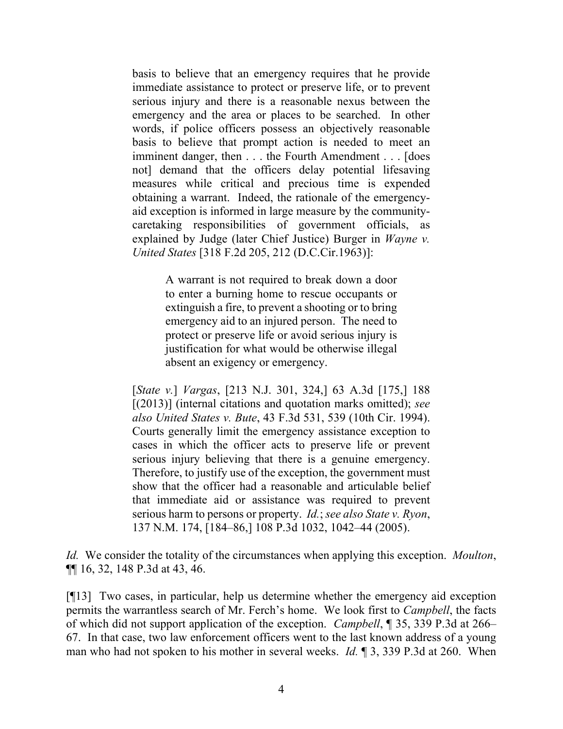basis to believe that an emergency requires that he provide immediate assistance to protect or preserve life, or to prevent serious injury and there is a reasonable nexus between the emergency and the area or places to be searched. In other words, if police officers possess an objectively reasonable basis to believe that prompt action is needed to meet an imminent danger, then . . . the Fourth Amendment . . . [does not] demand that the officers delay potential lifesaving measures while critical and precious time is expended obtaining a warrant. Indeed, the rationale of the emergencyaid exception is informed in large measure by the communitycaretaking responsibilities of government officials, as explained by Judge (later Chief Justice) Burger in *Wayne v. United States* [318 F.2d 205, 212 (D.C.Cir.1963)]:

> A warrant is not required to break down a door to enter a burning home to rescue occupants or extinguish a fire, to prevent a shooting or to bring emergency aid to an injured person. The need to protect or preserve life or avoid serious injury is justification for what would be otherwise illegal absent an exigency or emergency.

[*State v.*] *Vargas*, [213 N.J. 301, 324,] 63 A.3d [175,] 188 [(2013)] (internal citations and quotation marks omitted); *see also United States v. Bute*, 43 F.3d 531, 539 (10th Cir. 1994). Courts generally limit the emergency assistance exception to cases in which the officer acts to preserve life or prevent serious injury believing that there is a genuine emergency. Therefore, to justify use of the exception, the government must show that the officer had a reasonable and articulable belief that immediate aid or assistance was required to prevent serious harm to persons or property. *Id.*; *see also State v. Ryon*, 137 N.M. 174, [184–86,] 108 P.3d 1032, 1042–44 (2005).

*Id.* We consider the totality of the circumstances when applying this exception. *Moulton*, ¶¶ 16, 32, 148 P.3d at 43, 46.

[¶13] Two cases, in particular, help us determine whether the emergency aid exception permits the warrantless search of Mr. Ferch's home. We look first to *Campbell*, the facts of which did not support application of the exception. *Campbell*, ¶ 35, 339 P.3d at 266– 67. In that case, two law enforcement officers went to the last known address of a young man who had not spoken to his mother in several weeks. *Id.* ¶ 3, 339 P.3d at 260. When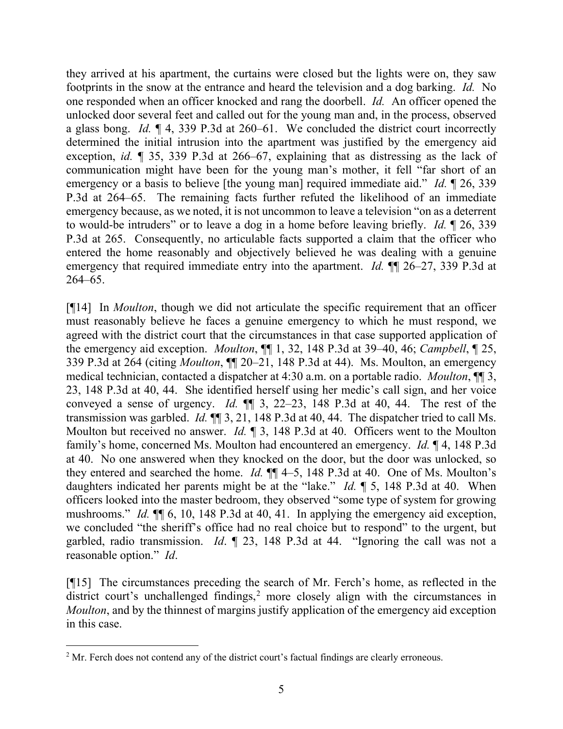they arrived at his apartment, the curtains were closed but the lights were on, they saw footprints in the snow at the entrance and heard the television and a dog barking. *Id.* No one responded when an officer knocked and rang the doorbell. *Id.* An officer opened the unlocked door several feet and called out for the young man and, in the process, observed a glass bong. *Id.* ¶ 4, 339 P.3d at 260–61. We concluded the district court incorrectly determined the initial intrusion into the apartment was justified by the emergency aid exception, *id.* ¶ 35, 339 P.3d at 266–67, explaining that as distressing as the lack of communication might have been for the young man's mother, it fell "far short of an emergency or a basis to believe [the young man] required immediate aid." *Id.* 126, 339 P.3d at 264–65. The remaining facts further refuted the likelihood of an immediate emergency because, as we noted, it is not uncommon to leave a television "on as a deterrent to would-be intruders" or to leave a dog in a home before leaving briefly. *Id.* ¶ 26, 339 P.3d at 265. Consequently, no articulable facts supported a claim that the officer who entered the home reasonably and objectively believed he was dealing with a genuine emergency that required immediate entry into the apartment. *Id.* ¶¶ 26–27, 339 P.3d at 264–65.

[¶14] In *Moulton*, though we did not articulate the specific requirement that an officer must reasonably believe he faces a genuine emergency to which he must respond, we agreed with the district court that the circumstances in that case supported application of the emergency aid exception. *Moulton*, ¶¶ 1, 32, 148 P.3d at 39–40, 46; *Campbell*, ¶ 25, 339 P.3d at 264 (citing *Moulton*, ¶¶ 20–21, 148 P.3d at 44). Ms. Moulton, an emergency medical technician, contacted a dispatcher at 4:30 a.m. on a portable radio. *Moulton*, ¶¶ 3, 23, 148 P.3d at 40, 44. She identified herself using her medic's call sign, and her voice conveyed a sense of urgency. *Id.* ¶¶ 3, 22–23, 148 P.3d at 40, 44. The rest of the transmission was garbled. *Id.* ¶¶ 3, 21, 148 P.3d at 40, 44. The dispatcher tried to call Ms. Moulton but received no answer. *Id.* ¶ 3, 148 P.3d at 40. Officers went to the Moulton family's home, concerned Ms. Moulton had encountered an emergency. *Id.* ¶ 4, 148 P.3d at 40. No one answered when they knocked on the door, but the door was unlocked, so they entered and searched the home. *Id.* ¶¶ 4–5, 148 P.3d at 40. One of Ms. Moulton's daughters indicated her parents might be at the "lake." *Id.* ¶ 5, 148 P.3d at 40. When officers looked into the master bedroom, they observed "some type of system for growing mushrooms." *Id.*  $\P$ [ 6, 10, 148 P.3d at 40, 41. In applying the emergency aid exception, we concluded "the sheriff's office had no real choice but to respond" to the urgent, but garbled, radio transmission. *Id*. ¶ 23, 148 P.3d at 44. "Ignoring the call was not a reasonable option." *Id*.

[¶15] The circumstances preceding the search of Mr. Ferch's home, as reflected in the district court's unchallenged findings,<sup>[2](#page-5-0)</sup> more closely align with the circumstances in *Moulton*, and by the thinnest of margins justify application of the emergency aid exception in this case.

<span id="page-5-0"></span><sup>&</sup>lt;sup>2</sup> Mr. Ferch does not contend any of the district court's factual findings are clearly erroneous.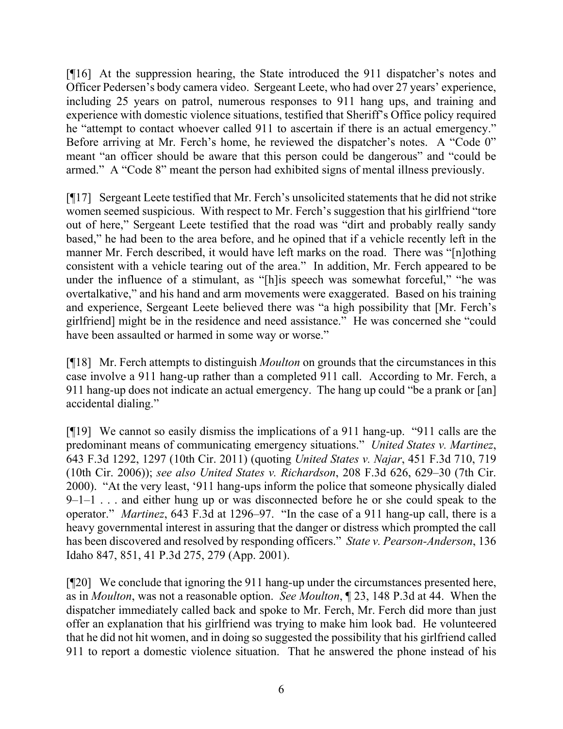[¶16] At the suppression hearing, the State introduced the 911 dispatcher's notes and Officer Pedersen's body camera video. Sergeant Leete, who had over 27 years' experience, including 25 years on patrol, numerous responses to 911 hang ups, and training and experience with domestic violence situations, testified that Sheriff's Office policy required he "attempt to contact whoever called 911 to ascertain if there is an actual emergency." Before arriving at Mr. Ferch's home, he reviewed the dispatcher's notes. A "Code 0" meant "an officer should be aware that this person could be dangerous" and "could be armed." A "Code 8" meant the person had exhibited signs of mental illness previously.

[¶17] Sergeant Leete testified that Mr. Ferch's unsolicited statements that he did not strike women seemed suspicious. With respect to Mr. Ferch's suggestion that his girlfriend "tore out of here," Sergeant Leete testified that the road was "dirt and probably really sandy based," he had been to the area before, and he opined that if a vehicle recently left in the manner Mr. Ferch described, it would have left marks on the road. There was "[n]othing consistent with a vehicle tearing out of the area." In addition, Mr. Ferch appeared to be under the influence of a stimulant, as "[h]is speech was somewhat forceful," "he was overtalkative," and his hand and arm movements were exaggerated. Based on his training and experience, Sergeant Leete believed there was "a high possibility that [Mr. Ferch's girlfriend] might be in the residence and need assistance." He was concerned she "could have been assaulted or harmed in some way or worse."

[¶18] Mr. Ferch attempts to distinguish *Moulton* on grounds that the circumstances in this case involve a 911 hang-up rather than a completed 911 call. According to Mr. Ferch, a 911 hang-up does not indicate an actual emergency. The hang up could "be a prank or [an] accidental dialing."

[¶19] We cannot so easily dismiss the implications of a 911 hang-up. "911 calls are the predominant means of communicating emergency situations." *United States v. Martinez*, 643 F.3d 1292, 1297 (10th Cir. 2011) (quoting *United States v. Najar*, 451 F.3d 710, 719 (10th Cir. 2006)); *see also United States v. Richardson*, 208 F.3d 626, 629–30 (7th Cir. 2000). "At the very least, '911 hang-ups inform the police that someone physically dialed  $9-1-1$ ... and either hung up or was disconnected before he or she could speak to the operator." *Martinez*, 643 F.3d at 1296–97. "In the case of a 911 hang-up call, there is a heavy governmental interest in assuring that the danger or distress which prompted the call has been discovered and resolved by responding officers." *State v. Pearson-Anderson*, 136 Idaho 847, 851, 41 P.3d 275, 279 (App. 2001).

[¶20] We conclude that ignoring the 911 hang-up under the circumstances presented here, as in *Moulton*, was not a reasonable option. *See Moulton*, ¶ 23, 148 P.3d at 44. When the dispatcher immediately called back and spoke to Mr. Ferch, Mr. Ferch did more than just offer an explanation that his girlfriend was trying to make him look bad. He volunteered that he did not hit women, and in doing so suggested the possibility that his girlfriend called 911 to report a domestic violence situation. That he answered the phone instead of his